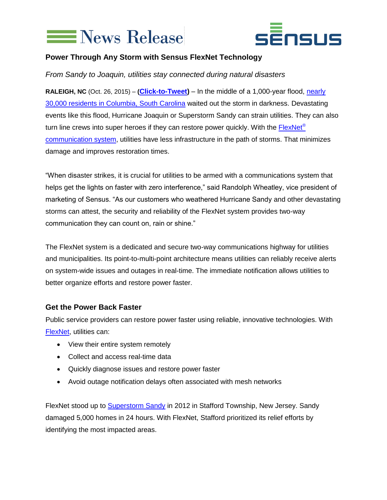



## **Power Through Any Storm with Sensus FlexNet Technology**

*From Sandy to Joaquin, utilities stay connected during natural disasters*

**RALEIGH, NC** (Oct. 26, 2015) – **([Click-to-Tweet\)](https://twitter.com/intent/tweet?text=Utilities%20stay%20connected%20during%20natural%20disasters%20with%20%40SensusGlobal%3A%20http%3A%2F%2Fbit.ly%2F1LSoGDw%20&source=clicktotweet&related=clicktotweet)** – In the middle of a 1,000-year flood, [nearly](http://www.weather.com/safety/floods/news/south-carolina-flooding-columbia-charleston-myrtlebeach)  [30,000 residents in Columbia, South Carolina](http://www.weather.com/safety/floods/news/south-carolina-flooding-columbia-charleston-myrtlebeach) waited out the storm in darkness. Devastating events like this flood, Hurricane Joaquin or Superstorm Sandy can strain utilities. They can also turn line crews into super heroes if they can restore power quickly. With the [FlexNet](http://www.sensus.com/nextgen)<sup>®</sup> [communication system,](http://www.sensus.com/nextgen) utilities have less infrastructure in the path of storms. That minimizes damage and improves restoration times.

"When disaster strikes, it is crucial for utilities to be armed with a communications system that helps get the lights on faster with zero interference," said Randolph Wheatley, vice president of marketing of Sensus. "As our customers who weathered Hurricane Sandy and other devastating storms can attest, the security and reliability of the FlexNet system provides two-way communication they can count on, rain or shine."

The FlexNet system is a dedicated and secure two-way communications highway for utilities and municipalities. Its point-to-multi-point architecture means utilities can reliably receive alerts on system-wide issues and outages in real-time. The immediate notification allows utilities to better organize efforts and restore power faster.

## **Get the Power Back Faster**

Public service providers can restore power faster using reliable, innovative technologies. With [FlexNet,](http://sensus.com/nextgen) utilities can:

- View their entire system remotely
- Collect and access real-time data
- Quickly diagnose issues and restore power faster
- Avoid outage notification delays often associated with mesh networks

FlexNet stood up to **Superstorm Sandy** in 2012 in Stafford Township, New Jersey. Sandy damaged 5,000 homes in 24 hours. With FlexNet, Stafford prioritized its relief efforts by identifying the most impacted areas.